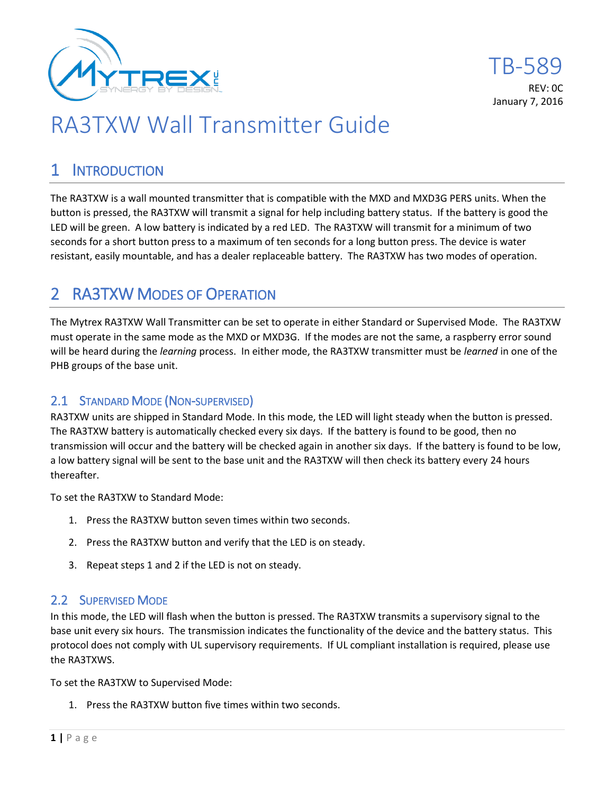

# RA3TXW Wall Transmitter Guide

### 1 INTRODUCTION

The RA3TXW is a wall mounted transmitter that is compatible with the MXD and MXD3G PERS units. When the button is pressed, the RA3TXW will transmit a signal for help including battery status. If the battery is good the LED will be green. A low battery is indicated by a red LED. The RA3TXW will transmit for a minimum of two seconds for a short button press to a maximum of ten seconds for a long button press. The device is water resistant, easily mountable, and has a dealer replaceable battery. The RA3TXW has two modes of operation.

### 2 RA3TXW MODES OF OPERATION

The Mytrex RA3TXW Wall Transmitter can be set to operate in either Standard or Supervised Mode. The RA3TXW must operate in the same mode as the MXD or MXD3G. If the modes are not the same, a raspberry error sound will be heard during the *learning* process. In either mode, the RA3TXW transmitter must be *learned* in one of the PHB groups of the base unit.

#### 2.1 STANDARD MODE (NON-SUPERVISED)

RA3TXW units are shipped in Standard Mode. In this mode, the LED will light steady when the button is pressed. The RA3TXW battery is automatically checked every six days. If the battery is found to be good, then no transmission will occur and the battery will be checked again in another six days. If the battery is found to be low, a low battery signal will be sent to the base unit and the RA3TXW will then check its battery every 24 hours thereafter.

To set the RA3TXW to Standard Mode:

- 1. Press the RA3TXW button seven times within two seconds.
- 2. Press the RA3TXW button and verify that the LED is on steady.
- 3. Repeat steps 1 and 2 if the LED is not on steady.

#### 2.2 SUPERVISED MODE

In this mode, the LED will flash when the button is pressed. The RA3TXW transmits a supervisory signal to the base unit every six hours. The transmission indicates the functionality of the device and the battery status. This protocol does not comply with UL supervisory requirements. If UL compliant installation is required, please use the RA3TXWS.

To set the RA3TXW to Supervised Mode:

1. Press the RA3TXW button five times within two seconds.